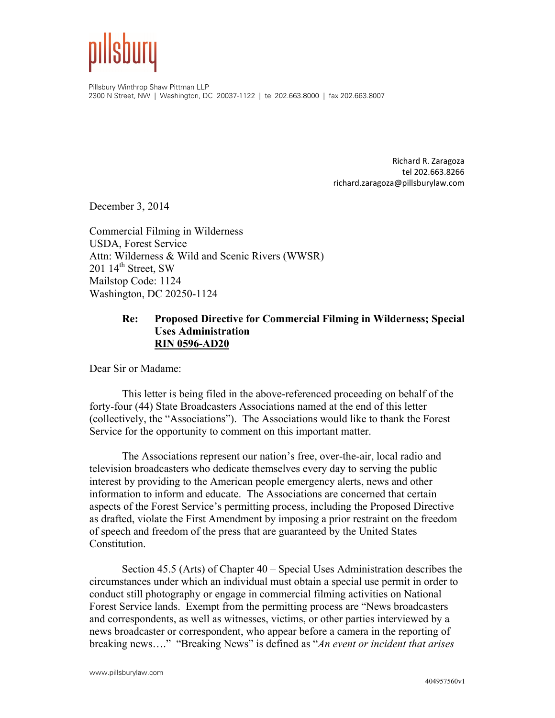

Pillsbury Winthrop Shaw Pittman LLP 2300 N Street, NW | Washington, DC 20037-1122 | tel 202.663.8000 | fax 202.663.8007

> Richard R. Zaragoza tel 202.663.8266 richard.zaragoza@pillsburylaw.com

December 3, 2014

Commercial Filming in Wilderness USDA, Forest Service Attn: Wilderness & Wild and Scenic Rivers (WWSR)  $201$   $14^{\text{th}}$  Street, SW Mailstop Code: 1124 Washington, DC 20250-1124

## **Re: Proposed Directive for Commercial Filming in Wilderness; Special Uses Administration RIN 0596-AD20**

Dear Sir or Madame:

This letter is being filed in the above-referenced proceeding on behalf of the forty-four (44) State Broadcasters Associations named at the end of this letter (collectively, the "Associations"). The Associations would like to thank the Forest Service for the opportunity to comment on this important matter.

 The Associations represent our nation's free, over-the-air, local radio and television broadcasters who dedicate themselves every day to serving the public interest by providing to the American people emergency alerts, news and other information to inform and educate. The Associations are concerned that certain aspects of the Forest Service's permitting process, including the Proposed Directive as drafted, violate the First Amendment by imposing a prior restraint on the freedom of speech and freedom of the press that are guaranteed by the United States Constitution.

 Section 45.5 (Arts) of Chapter 40 – Special Uses Administration describes the circumstances under which an individual must obtain a special use permit in order to conduct still photography or engage in commercial filming activities on National Forest Service lands. Exempt from the permitting process are "News broadcasters and correspondents, as well as witnesses, victims, or other parties interviewed by a news broadcaster or correspondent, who appear before a camera in the reporting of breaking news…." "Breaking News" is defined as "*An event or incident that arises*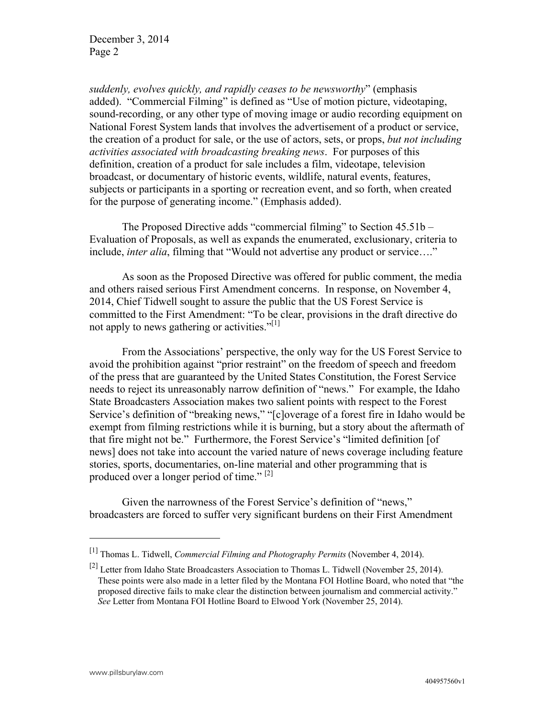*suddenly, evolves quickly, and rapidly ceases to be newsworthy*" (emphasis added). "Commercial Filming" is defined as "Use of motion picture, videotaping, sound-recording, or any other type of moving image or audio recording equipment on National Forest System lands that involves the advertisement of a product or service, the creation of a product for sale, or the use of actors, sets, or props, *but not including activities associated with broadcasting breaking news*. For purposes of this definition, creation of a product for sale includes a film, videotape, television broadcast, or documentary of historic events, wildlife, natural events, features, subjects or participants in a sporting or recreation event, and so forth, when created for the purpose of generating income." (Emphasis added).

 The Proposed Directive adds "commercial filming" to Section 45.51b – Evaluation of Proposals, as well as expands the enumerated, exclusionary, criteria to include, *inter alia*, filming that "Would not advertise any product or service…."

 As soon as the Proposed Directive was offered for public comment, the media and others raised serious First Amendment concerns. In response, on November 4, 2014, Chief Tidwell sought to assure the public that the US Forest Service is committed to the First Amendment: "To be clear, provisions in the draft directive do not apply to news gathering or activities." $\lfloor$ <sup>1</sup>

 From the Associations' perspective, the only way for the US Forest Service to avoid the prohibition against "prior restraint" on the freedom of speech and freedom of the press that are guaranteed by the United States Constitution, the Forest Service needs to reject its unreasonably narrow definition of "news." For example, the Idaho State Broadcasters Association makes two salient points with respect to the Forest Service's definition of "breaking news," "[c]overage of a forest fire in Idaho would be exempt from filming restrictions while it is burning, but a story about the aftermath of that fire might not be." Furthermore, the Forest Service's "limited definition [of news] does not take into account the varied nature of news coverage including feature stories, sports, documentaries, on-line material and other programming that is produced over a longer period of time." [2]

 Given the narrowness of the Forest Service's definition of "news," broadcasters are forced to suffer very significant burdens on their First Amendment

<sup>[1]</sup> Thomas L. Tidwell, *Commercial Filming and Photography Permits* (November 4, 2014).

 $[2]$  Letter from Idaho State Broadcasters Association to Thomas L. Tidwell (November 25, 2014). These points were also made in a letter filed by the Montana FOI Hotline Board, who noted that "the proposed directive fails to make clear the distinction between journalism and commercial activity." *See* Letter from Montana FOI Hotline Board to Elwood York (November 25, 2014).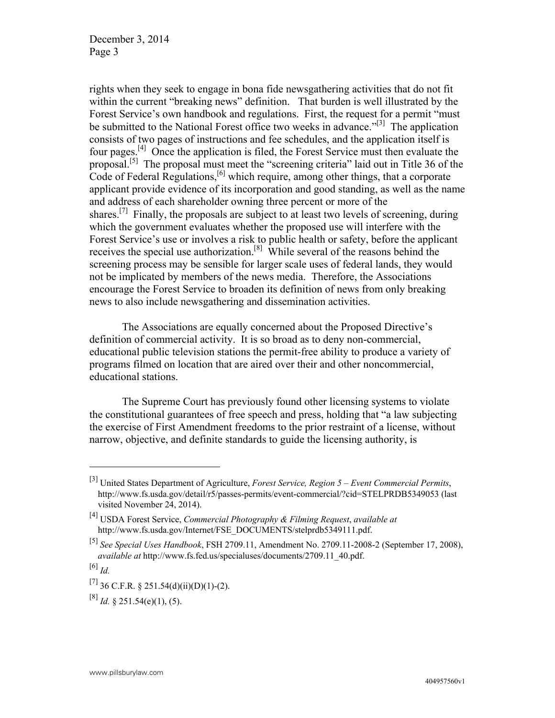rights when they seek to engage in bona fide newsgathering activities that do not fit within the current "breaking news" definition. That burden is well illustrated by the Forest Service's own handbook and regulations. First, the request for a permit "must be submitted to the National Forest office two weeks in advance.<sup>[3]</sup> The application consists of two pages of instructions and fee schedules, and the application itself is four pages.[4] Once the application is filed, the Forest Service must then evaluate the proposal.<sup>[5]</sup> The proposal must meet the "screening criteria" laid out in Title 36 of the Code of Federal Regulations,<sup>[6]</sup> which require, among other things, that a corporate applicant provide evidence of its incorporation and good standing, as well as the name and address of each shareholder owning three percent or more of the shares.<sup>[7]</sup> Finally, the proposals are subject to at least two levels of screening, during which the government evaluates whether the proposed use will interfere with the Forest Service's use or involves a risk to public health or safety, before the applicant receives the special use authorization.[8] While several of the reasons behind the screening process may be sensible for larger scale uses of federal lands, they would not be implicated by members of the news media. Therefore, the Associations encourage the Forest Service to broaden its definition of news from only breaking news to also include newsgathering and dissemination activities.

 The Associations are equally concerned about the Proposed Directive's definition of commercial activity. It is so broad as to deny non-commercial, educational public television stations the permit-free ability to produce a variety of programs filmed on location that are aired over their and other noncommercial, educational stations.

 The Supreme Court has previously found other licensing systems to violate the constitutional guarantees of free speech and press, holding that "a law subjecting the exercise of First Amendment freedoms to the prior restraint of a license, without narrow, objective, and definite standards to guide the licensing authority, is

<sup>[3]</sup> United States Department of Agriculture, *Forest Service, Region 5 – Event Commercial Permits*, http://www.fs.usda.gov/detail/r5/passes-permits/event-commercial/?cid=STELPRDB5349053 (last visited November 24, 2014).

<sup>[4]</sup> USDA Forest Service, *Commercial Photography & Filming Request*, *available at* http://www.fs.usda.gov/Internet/FSE\_DOCUMENTS/stelprdb5349111.pdf.

<sup>[5]</sup> *See Special Uses Handbook*, FSH 2709.11, Amendment No. 2709.11-2008-2 (September 17, 2008), *available at* http://www.fs.fed.us/specialuses/documents/2709.11\_40.pdf.

<sup>[6]</sup> *Id.*

 $^{[7]}$  36 C.F.R. § 251.54(d)(ii)(D)(1)-(2).

 $^{[8]}$  *Id.* § 251.54(e)(1), (5).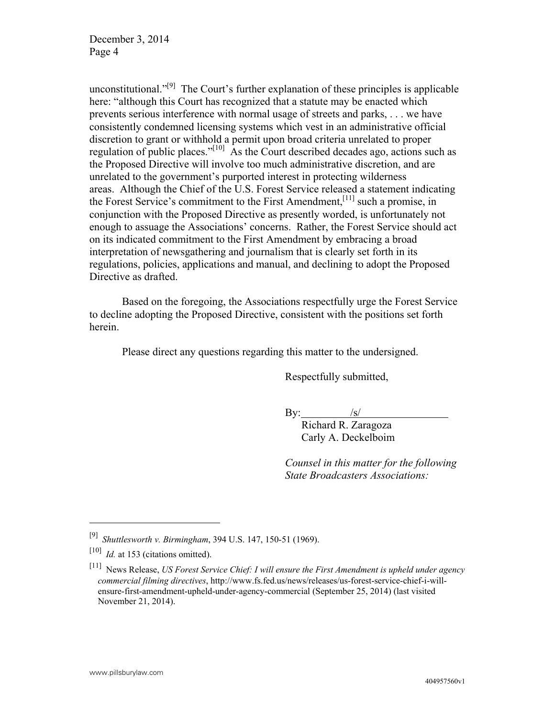unconstitutional." $[9]$  The Court's further explanation of these principles is applicable here: "although this Court has recognized that a statute may be enacted which prevents serious interference with normal usage of streets and parks, . . . we have consistently condemned licensing systems which vest in an administrative official discretion to grant or withhold a permit upon broad criteria unrelated to proper regulation of public places." $[10]$  As the Court described decades ago, actions such as the Proposed Directive will involve too much administrative discretion, and are unrelated to the government's purported interest in protecting wilderness areas. Although the Chief of the U.S. Forest Service released a statement indicating the Forest Service's commitment to the First Amendment,[11] such a promise, in conjunction with the Proposed Directive as presently worded, is unfortunately not enough to assuage the Associations' concerns. Rather, the Forest Service should act on its indicated commitment to the First Amendment by embracing a broad interpretation of newsgathering and journalism that is clearly set forth in its regulations, policies, applications and manual, and declining to adopt the Proposed Directive as drafted.

Based on the foregoing, the Associations respectfully urge the Forest Service to decline adopting the Proposed Directive, consistent with the positions set forth herein.

Please direct any questions regarding this matter to the undersigned.

Respectfully submitted,

By:  $/s/$ 

Richard R. Zaragoza Carly A. Deckelboim

*Counsel in this matter for the following State Broadcasters Associations:* 

<sup>[9]</sup> *Shuttlesworth v. Birmingham*, 394 U.S. 147, 150-51 (1969).

 $[10]$  *Id.* at 153 (citations omitted).

<sup>[11]</sup> News Release, *US Forest Service Chief: I will ensure the First Amendment is upheld under agency commercial filming directives*, http://www.fs.fed.us/news/releases/us-forest-service-chief-i-willensure-first-amendment-upheld-under-agency-commercial (September 25, 2014) (last visited November 21, 2014).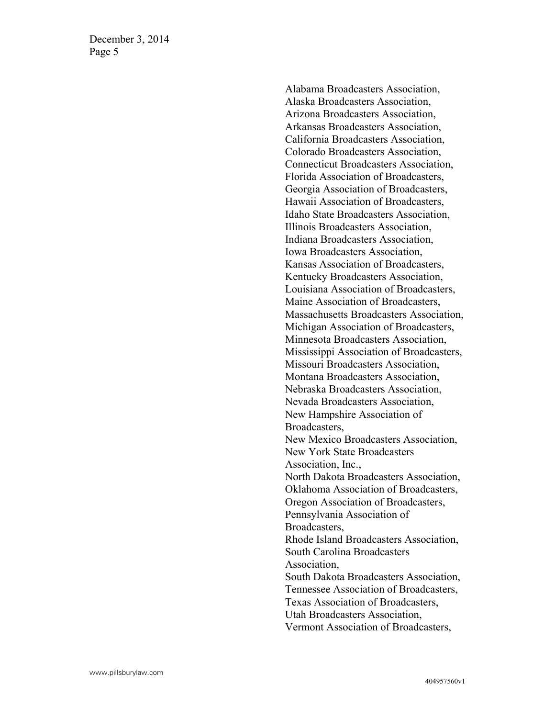December 3, 2014 Page 5

> Alabama Broadcasters Association, Alaska Broadcasters Association, Arizona Broadcasters Association, Arkansas Broadcasters Association, California Broadcasters Association, Colorado Broadcasters Association, Connecticut Broadcasters Association, Florida Association of Broadcasters, Georgia Association of Broadcasters, Hawaii Association of Broadcasters, Idaho State Broadcasters Association, Illinois Broadcasters Association, Indiana Broadcasters Association, Iowa Broadcasters Association, Kansas Association of Broadcasters, Kentucky Broadcasters Association, Louisiana Association of Broadcasters, Maine Association of Broadcasters, Massachusetts Broadcasters Association, Michigan Association of Broadcasters, Minnesota Broadcasters Association, Mississippi Association of Broadcasters, Missouri Broadcasters Association, Montana Broadcasters Association, Nebraska Broadcasters Association, Nevada Broadcasters Association, New Hampshire Association of Broadcasters, New Mexico Broadcasters Association, New York State Broadcasters Association, Inc., North Dakota Broadcasters Association, Oklahoma Association of Broadcasters, Oregon Association of Broadcasters, Pennsylvania Association of Broadcasters, Rhode Island Broadcasters Association, South Carolina Broadcasters Association, South Dakota Broadcasters Association, Tennessee Association of Broadcasters, Texas Association of Broadcasters, Utah Broadcasters Association, Vermont Association of Broadcasters,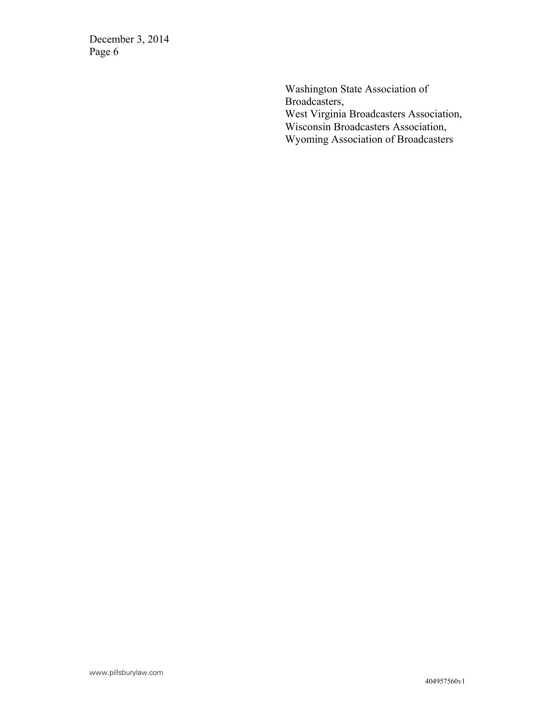December 3, 2014 Page 6

> Washington State Association of Broadcasters, West Virginia Broadcasters Association, Wisconsin Broadcasters Association, Wyoming Association of Broadcasters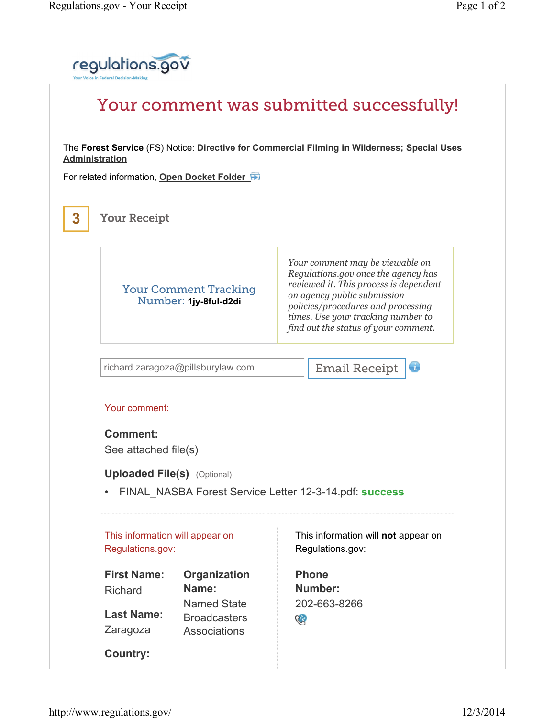